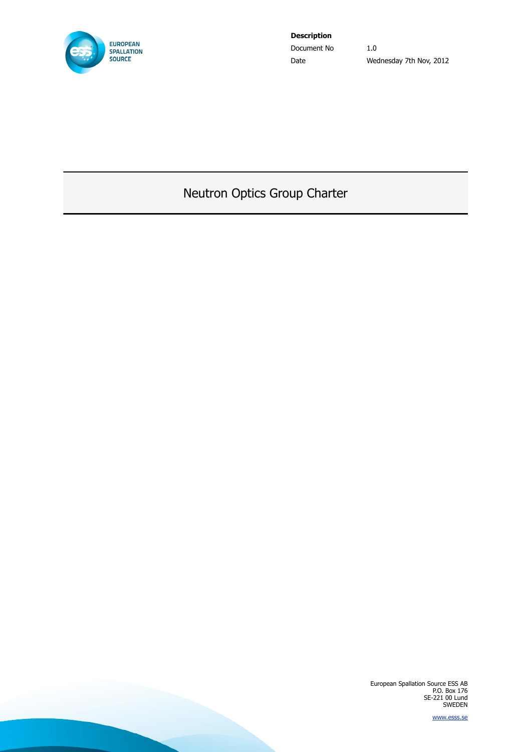<span id="page-0-0"></span>

**Description** Document No 1.0

Date Wednesday 7th Nov, 2012

# <span id="page-0-1"></span>Neutron Optics Group Charter

European Spallation Source ESS AB P.O. Box 176 SE-221 00 Lund SWEDEN

[www.esss.se](http://www.esss.se/)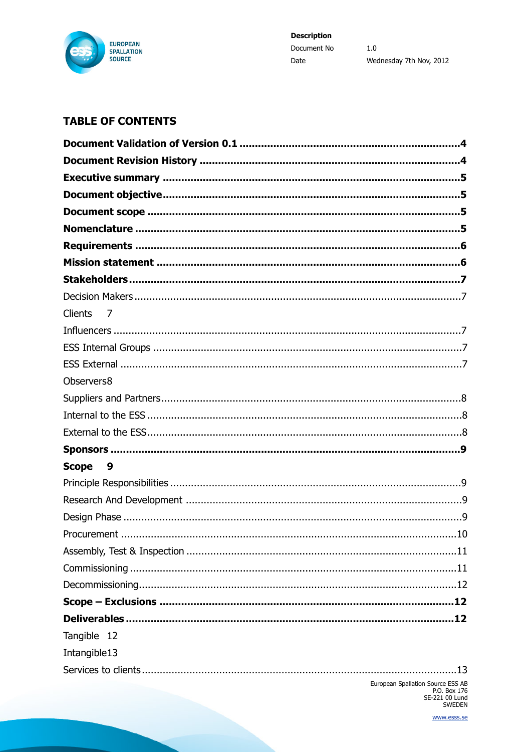

## **TABLE OF CONTENTS**

| <b>Clients</b><br>$\overline{7}$  |
|-----------------------------------|
|                                   |
|                                   |
|                                   |
| Observers8                        |
|                                   |
|                                   |
|                                   |
|                                   |
| <b>Scope</b><br>- 9               |
|                                   |
|                                   |
|                                   |
|                                   |
|                                   |
|                                   |
|                                   |
|                                   |
|                                   |
| Tangible 12                       |
| Intangible13                      |
| .13                               |
| European Spallation Source ESS AB |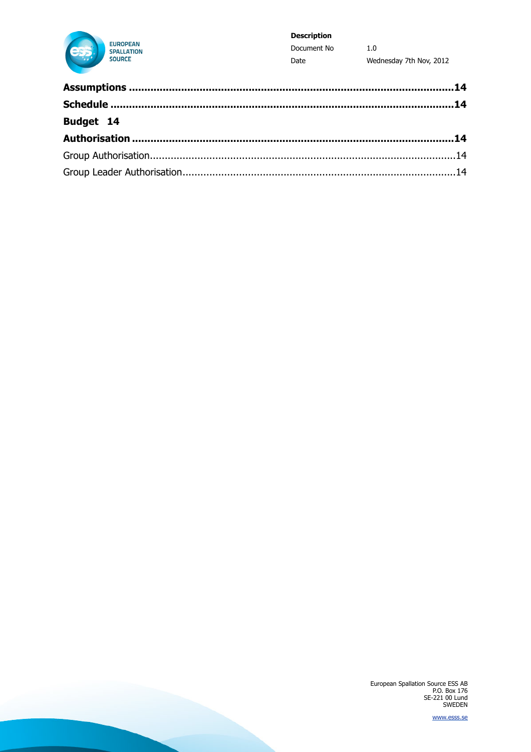

#### **Description**

Document No  $1.0\,$ Date Wednesday 7th Nov, 2012

| Budget 14 |  |
|-----------|--|
|           |  |
|           |  |
|           |  |

European Spallation Source ESS AB<br>P.O. Box 176<br>SE-221 00 Lund<br>SWEDEN

www.esss.se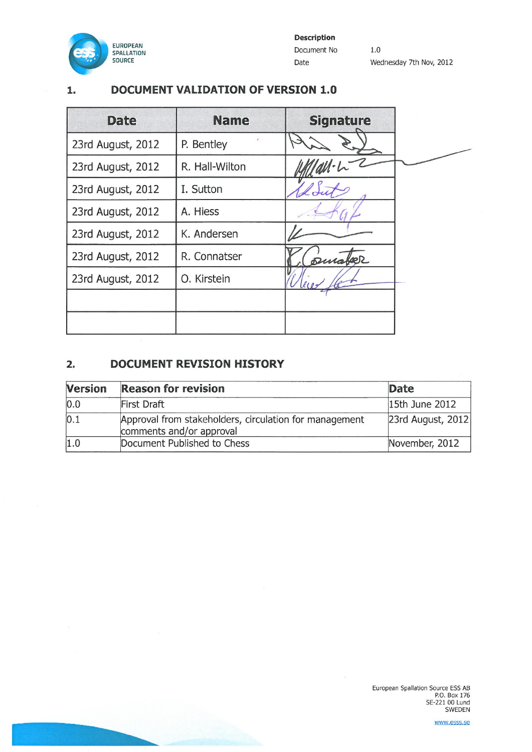

#### **DOCUMENT VALIDATION OF VERSION 1.0**  $1.$

| <b>Date</b>       | <b>Name</b>    | <b>Signature</b> |
|-------------------|----------------|------------------|
| 23rd August, 2012 | P. Bentley     |                  |
| 23rd August, 2012 | R. Hall-Wilton |                  |
| 23rd August, 2012 | I. Sutton      |                  |
| 23rd August, 2012 | A. Hiess       |                  |
| 23rd August, 2012 | K. Andersen    |                  |
| 23rd August, 2012 | R. Connatser   | puraber          |
| 23rd August, 2012 | O. Kirstein    |                  |
|                   |                |                  |
|                   |                |                  |

#### **DOCUMENT REVISION HISTORY**  $2.$

| <b>Version</b> | <b>Reason for revision</b>                                                         | <b>Date</b>          |
|----------------|------------------------------------------------------------------------------------|----------------------|
| 0.0            | First Draft                                                                        | 15th June 2012       |
| 0.1            | Approval from stakeholders, circulation for management<br>comments and/or approval | $ 23rd$ August, 2012 |
| 1.0            | Document Published to Chess                                                        | November, 2012       |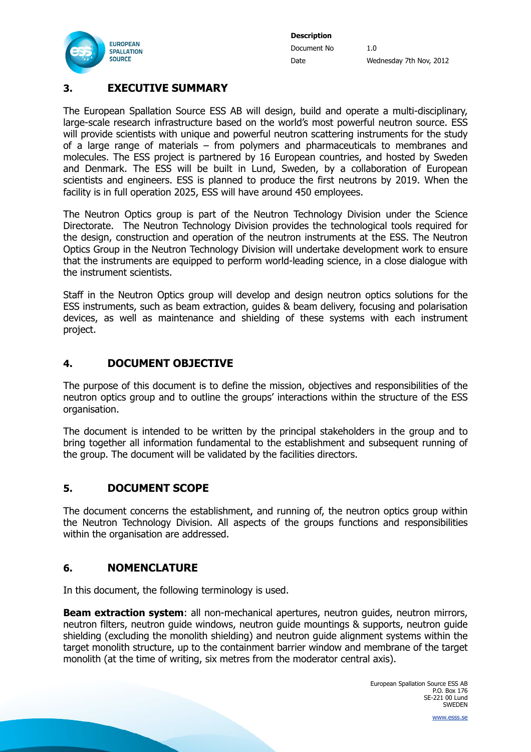

## <span id="page-4-0"></span>**3. EXECUTIVE SUMMARY**

The European Spallation Source ESS AB will design, build and operate a multi-disciplinary, large-scale research infrastructure based on the world's most powerful neutron source. ESS will provide scientists with unique and powerful neutron scattering instruments for the study of a large range of materials – from polymers and pharmaceuticals to membranes and molecules. The ESS project is partnered by 16 European countries, and hosted by Sweden and Denmark. The ESS will be built in Lund, Sweden, by a collaboration of European scientists and engineers. ESS is planned to produce the first neutrons by 2019. When the facility is in full operation 2025, ESS will have around 450 employees.

The Neutron Optics group is part of the Neutron Technology Division under the Science Directorate. The Neutron Technology Division provides the technological tools required for the design, construction and operation of the neutron instruments at the ESS. The Neutron Optics Group in the Neutron Technology Division will undertake development work to ensure that the instruments are equipped to perform world-leading science, in a close dialogue with the instrument scientists.

Staff in the Neutron Optics group will develop and design neutron optics solutions for the ESS instruments, such as beam extraction, guides & beam delivery, focusing and polarisation devices, as well as maintenance and shielding of these systems with each instrument project.

## <span id="page-4-1"></span>**4. DOCUMENT OBJECTIVE**

The purpose of this document is to define the mission, objectives and responsibilities of the neutron optics group and to outline the groups' interactions within the structure of the ESS organisation.

The document is intended to be written by the principal stakeholders in the group and to bring together all information fundamental to the establishment and subsequent running of the group. The document will be validated by the facilities directors.

## <span id="page-4-2"></span>**5. DOCUMENT SCOPE**

The document concerns the establishment, and running of, the neutron optics group within the Neutron Technology Division. All aspects of the groups functions and responsibilities within the organisation are addressed.

### <span id="page-4-3"></span>**6. NOMENCLATURE**

In this document, the following terminology is used.

**Beam extraction system:** all non-mechanical apertures, neutron quides, neutron mirrors, neutron filters, neutron guide windows, neutron guide mountings & supports, neutron guide shielding (excluding the monolith shielding) and neutron guide alignment systems within the target monolith structure, up to the containment barrier window and membrane of the target monolith (at the time of writing, six metres from the moderator central axis).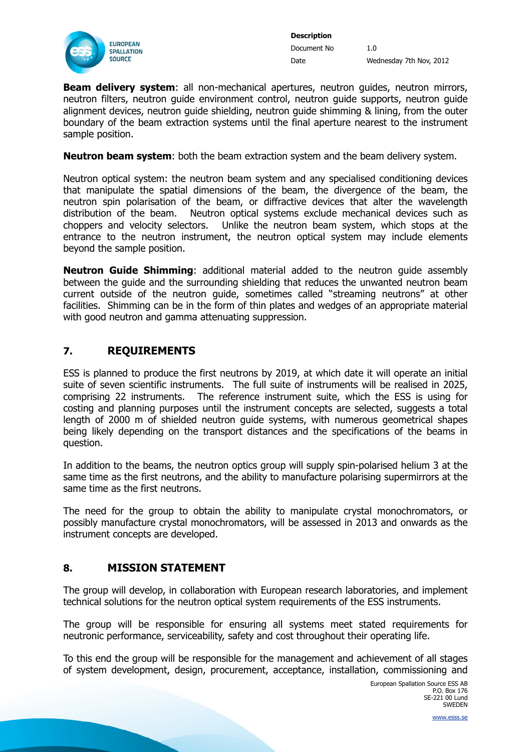

**Beam delivery system**: all non-mechanical apertures, neutron quides, neutron mirrors, neutron filters, neutron guide environment control, neutron guide supports, neutron guide alignment devices, neutron guide shielding, neutron guide shimming & lining, from the outer boundary of the beam extraction systems until the final aperture nearest to the instrument sample position.

**Neutron beam system**: both the beam extraction system and the beam delivery system.

Neutron optical system: the neutron beam system and any specialised conditioning devices that manipulate the spatial dimensions of the beam, the divergence of the beam, the neutron spin polarisation of the beam, or diffractive devices that alter the wavelength distribution of the beam. Neutron optical systems exclude mechanical devices such as choppers and velocity selectors. Unlike the neutron beam system, which stops at the entrance to the neutron instrument, the neutron optical system may include elements beyond the sample position.

**Neutron Guide Shimming**: additional material added to the neutron guide assembly between the guide and the surrounding shielding that reduces the unwanted neutron beam current outside of the neutron guide, sometimes called "streaming neutrons" at other facilities. Shimming can be in the form of thin plates and wedges of an appropriate material with good neutron and gamma attenuating suppression.

## <span id="page-5-0"></span>**7. REQUIREMENTS**

ESS is planned to produce the first neutrons by 2019, at which date it will operate an initial suite of seven scientific instruments. The full suite of instruments will be realised in 2025, comprising 22 instruments. The reference instrument suite, which the ESS is using for costing and planning purposes until the instrument concepts are selected, suggests a total length of 2000 m of shielded neutron guide systems, with numerous geometrical shapes being likely depending on the transport distances and the specifications of the beams in question.

In addition to the beams, the neutron optics group will supply spin-polarised helium 3 at the same time as the first neutrons, and the ability to manufacture polarising supermirrors at the same time as the first neutrons.

The need for the group to obtain the ability to manipulate crystal monochromators, or possibly manufacture crystal monochromators, will be assessed in 2013 and onwards as the instrument concepts are developed.

## <span id="page-5-1"></span>**8. MISSION STATEMENT**

The group will develop, in collaboration with European research laboratories, and implement technical solutions for the neutron optical system requirements of the ESS instruments.

The group will be responsible for ensuring all systems meet stated requirements for neutronic performance, serviceability, safety and cost throughout their operating life.

To this end the group will be responsible for the management and achievement of all stages of system development, design, procurement, acceptance, installation, commissioning and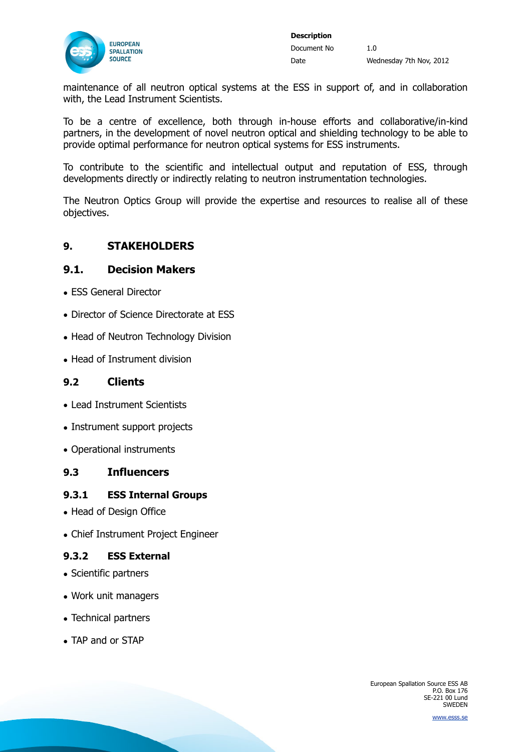

maintenance of all neutron optical systems at the ESS in support of, and in collaboration with, the Lead Instrument Scientists.

To be a centre of excellence, both through in-house efforts and collaborative/in-kind partners, in the development of novel neutron optical and shielding technology to be able to provide optimal performance for neutron optical systems for ESS instruments.

To contribute to the scientific and intellectual output and reputation of ESS, through developments directly or indirectly relating to neutron instrumentation technologies.

The Neutron Optics Group will provide the expertise and resources to realise all of these objectives.

### <span id="page-6-0"></span>**9. STAKEHOLDERS**

### <span id="page-6-1"></span>**9.1. Decision Makers**

- ESS General Director
- Director of Science Directorate at ESS
- Head of Neutron Technology Division
- Head of Instrument division

#### <span id="page-6-2"></span>**9.2 Clients**

- Lead Instrument Scientists
- Instrument support projects
- Operational instruments

## <span id="page-6-3"></span>**9.3 Influencers**

#### <span id="page-6-4"></span>**9.3.1 ESS Internal Groups**

- Head of Design Office
- Chief Instrument Project Engineer

#### <span id="page-6-5"></span>**9.3.2 ESS External**

- Scientific partners
- Work unit managers
- Technical partners
- TAP and or STAP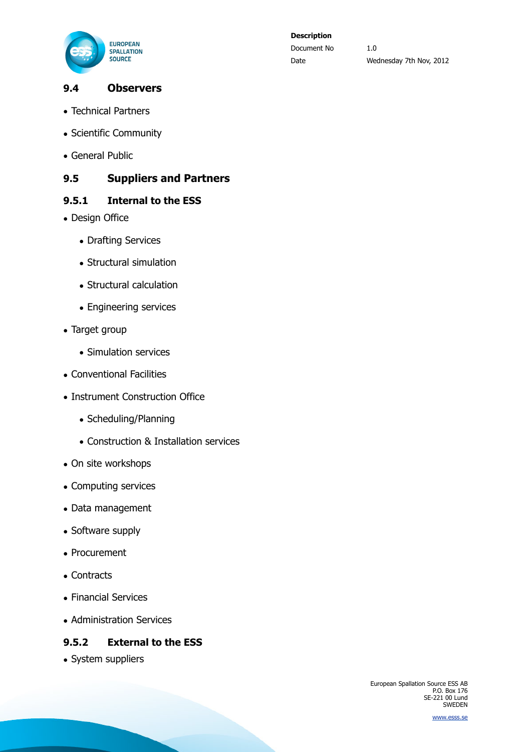

## <span id="page-7-0"></span>**9.4 Observers**

- Technical Partners
- Scientific Community
- General Public

## <span id="page-7-1"></span>**9.5 Suppliers and Partners**

### <span id="page-7-2"></span>**9.5.1 Internal to the ESS**

- Design Office
	- Drafting Services
	- Structural simulation
	- Structural calculation
	- Engineering services
- Target group
	- Simulation services
- Conventional Facilities
- Instrument Construction Office
	- Scheduling/Planning
	- Construction & Installation services
- On site workshops
- Computing services
- Data management
- Software supply
- Procurement
- Contracts
- Financial Services
- Administration Services

### <span id="page-7-3"></span>**9.5.2 External to the ESS**

• System suppliers

European Spallation Source ESS AB P.O. Box 176 SE-221 00 Lund SWEDEN

[www.esss.se](http://www.esss.se/)

# **Description** Document No 1.0

Date Wednesday 7th Nov, 2012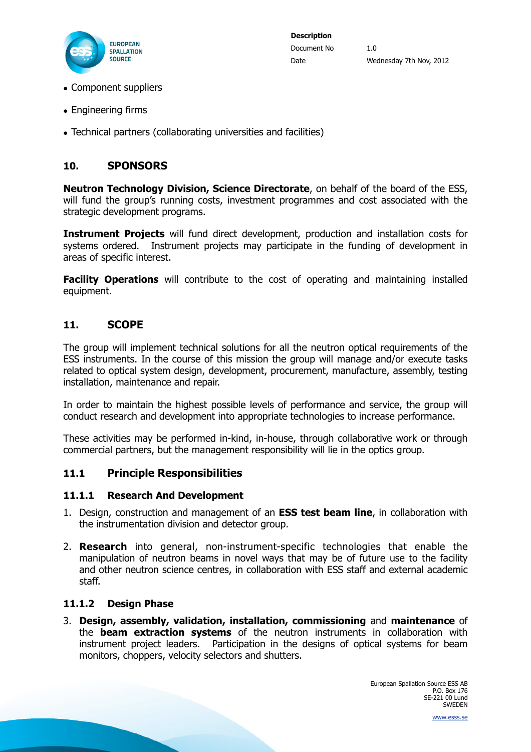

- Component suppliers
- Engineering firms
- Technical partners (collaborating universities and facilities)

## <span id="page-8-0"></span>**10. SPONSORS**

**Neutron Technology Division, Science Directorate**, on behalf of the board of the ESS, will fund the group's running costs, investment programmes and cost associated with the strategic development programs.

**Instrument Projects** will fund direct development, production and installation costs for systems ordered. Instrument projects may participate in the funding of development in areas of specific interest.

**Facility Operations** will contribute to the cost of operating and maintaining installed equipment.

#### <span id="page-8-1"></span>**11. SCOPE**

The group will implement technical solutions for all the neutron optical requirements of the ESS instruments. In the course of this mission the group will manage and/or execute tasks related to optical system design, development, procurement, manufacture, assembly, testing installation, maintenance and repair.

In order to maintain the highest possible levels of performance and service, the group will conduct research and development into appropriate technologies to increase performance.

These activities may be performed in-kind, in-house, through collaborative work or through commercial partners, but the management responsibility will lie in the optics group.

### <span id="page-8-2"></span>**11.1 Principle Responsibilities**

#### <span id="page-8-3"></span>**11.1.1 Research And Development**

- 1. Design, construction and management of an **ESS test beam line**, in collaboration with the instrumentation division and detector group.
- 2. **Research** into general, non-instrument-specific technologies that enable the manipulation of neutron beams in novel ways that may be of future use to the facility and other neutron science centres, in collaboration with ESS staff and external academic staff.

#### <span id="page-8-4"></span>**11.1.2 Design Phase**

3. **Design, assembly, validation, installation, commissioning** and **maintenance** of the **beam extraction systems** of the neutron instruments in collaboration with instrument project leaders. Participation in the designs of optical systems for beam monitors, choppers, velocity selectors and shutters.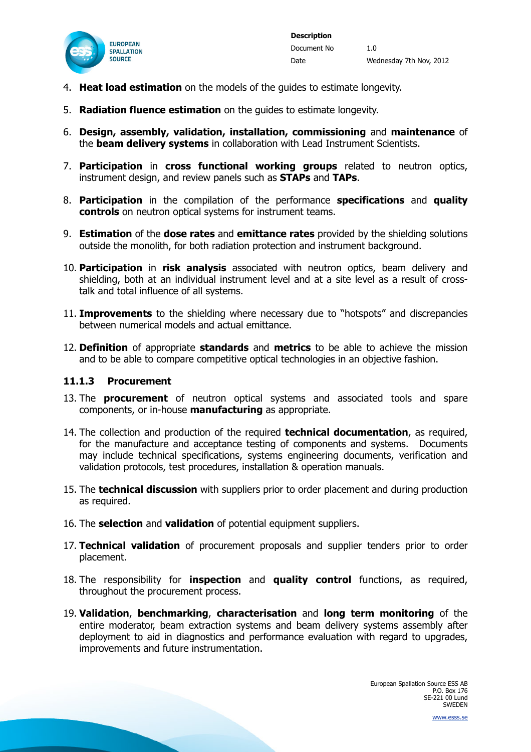

- 4. **Heat load estimation** on the models of the guides to estimate longevity.
- 5. **Radiation fluence estimation** on the guides to estimate longevity.
- 6. **Design, assembly, validation, installation, commissioning** and **maintenance** of the **beam delivery systems** in collaboration with Lead Instrument Scientists.
- 7. **Participation** in **cross functional working groups** related to neutron optics, instrument design, and review panels such as **STAPs** and **TAPs**.
- 8. **Participation** in the compilation of the performance **specifications** and **quality controls** on neutron optical systems for instrument teams.
- 9. **Estimation** of the **dose rates** and **emittance rates** provided by the shielding solutions outside the monolith, for both radiation protection and instrument background.
- 10. **Participation** in **risk analysis** associated with neutron optics, beam delivery and shielding, both at an individual instrument level and at a site level as a result of crosstalk and total influence of all systems.
- 11. **Improvements** to the shielding where necessary due to "hotspots" and discrepancies between numerical models and actual emittance.
- 12. **Definition** of appropriate **standards** and **metrics** to be able to achieve the mission and to be able to compare competitive optical technologies in an objective fashion.

#### <span id="page-9-0"></span>**11.1.3 Procurement**

- 13. The **procurement** of neutron optical systems and associated tools and spare components, or in-house **manufacturing** as appropriate.
- 14. The collection and production of the required **technical documentation**, as required, for the manufacture and acceptance testing of components and systems. Documents may include technical specifications, systems engineering documents, verification and validation protocols, test procedures, installation & operation manuals.
- 15. The **technical discussion** with suppliers prior to order placement and during production as required.
- 16. The **selection** and **validation** of potential equipment suppliers.
- 17. **Technical validation** of procurement proposals and supplier tenders prior to order placement.
- 18. The responsibility for **inspection** and **quality control** functions, as required, throughout the procurement process.
- 19. **Validation**, **benchmarking**, **characterisation** and **long term monitoring** of the entire moderator, beam extraction systems and beam delivery systems assembly after deployment to aid in diagnostics and performance evaluation with regard to upgrades, improvements and future instrumentation.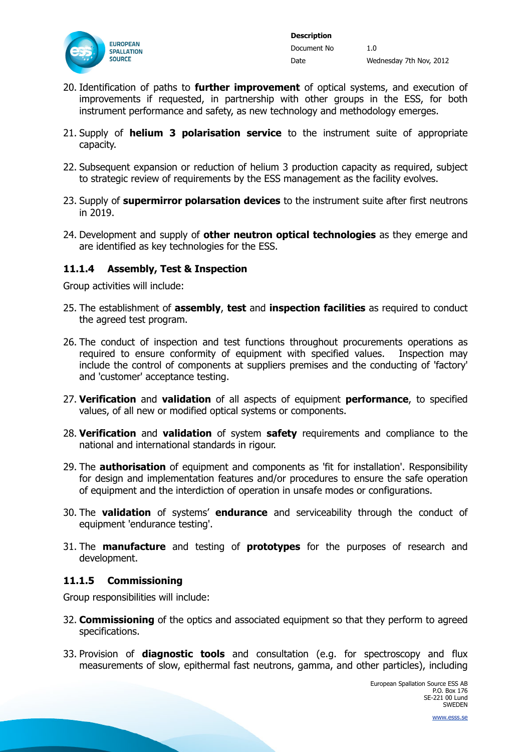

- 20. Identification of paths to **further improvement** of optical systems, and execution of improvements if requested, in partnership with other groups in the ESS, for both instrument performance and safety, as new technology and methodology emerges.
- 21. Supply of **helium 3 polarisation service** to the instrument suite of appropriate capacity.
- 22. Subsequent expansion or reduction of helium 3 production capacity as required, subject to strategic review of requirements by the ESS management as the facility evolves.
- 23. Supply of **supermirror polarsation devices** to the instrument suite after first neutrons in 2019.
- 24. Development and supply of **other neutron optical technologies** as they emerge and are identified as key technologies for the ESS.

### <span id="page-10-0"></span>**11.1.4 Assembly, Test & Inspection**

Group activities will include:

- 25. The establishment of **assembly**, **test** and **inspection facilities** as required to conduct the agreed test program.
- 26. The conduct of inspection and test functions throughout procurements operations as required to ensure conformity of equipment with specified values. Inspection may include the control of components at suppliers premises and the conducting of 'factory' and 'customer' acceptance testing.
- 27. **Verification** and **validation** of all aspects of equipment **performance**, to specified values, of all new or modified optical systems or components.
- 28. **Verification** and **validation** of system **safety** requirements and compliance to the national and international standards in rigour.
- 29. The **authorisation** of equipment and components as 'fit for installation'. Responsibility for design and implementation features and/or procedures to ensure the safe operation of equipment and the interdiction of operation in unsafe modes or configurations.
- 30. The **validation** of systems' **endurance** and serviceability through the conduct of equipment 'endurance testing'.
- 31. The **manufacture** and testing of **prototypes** for the purposes of research and development.

#### <span id="page-10-1"></span>**11.1.5 Commissioning**

Group responsibilities will include:

- 32. **Commissioning** of the optics and associated equipment so that they perform to agreed specifications.
- 33. Provision of **diagnostic tools** and consultation (e.g. for spectroscopy and flux measurements of slow, epithermal fast neutrons, gamma, and other particles), including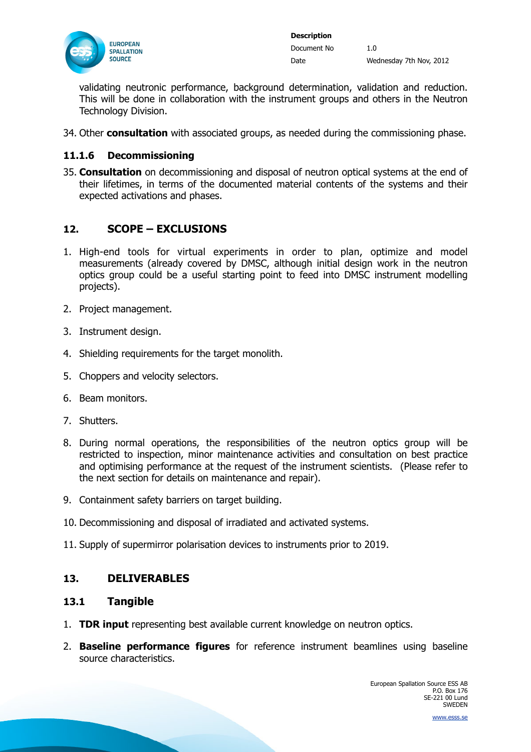

validating neutronic performance, background determination, validation and reduction. This will be done in collaboration with the instrument groups and others in the Neutron Technology Division.

34. Other **consultation** with associated groups, as needed during the commissioning phase.

### <span id="page-11-0"></span>**11.1.6 Decommissioning**

35. **Consultation** on decommissioning and disposal of neutron optical systems at the end of their lifetimes, in terms of the documented material contents of the systems and their expected activations and phases.

## <span id="page-11-1"></span>**12. SCOPE – EXCLUSIONS**

- 1. High-end tools for virtual experiments in order to plan, optimize and model measurements (already covered by DMSC, although initial design work in the neutron optics group could be a useful starting point to feed into DMSC instrument modelling projects).
- 2. Project management.
- 3. Instrument design.
- 4. Shielding requirements for the target monolith.
- 5. Choppers and velocity selectors.
- 6. Beam monitors.
- 7. Shutters.
- 8. During normal operations, the responsibilities of the neutron optics group will be restricted to inspection, minor maintenance activities and consultation on best practice and optimising performance at the request of the instrument scientists. (Please refer to the next section for details on maintenance and repair).
- 9. Containment safety barriers on target building.
- 10. Decommissioning and disposal of irradiated and activated systems.
- 11. Supply of supermirror polarisation devices to instruments prior to 2019.

### <span id="page-11-2"></span>**13. DELIVERABLES**

#### <span id="page-11-3"></span>**13.1 Tangible**

- 1. **TDR input** representing best available current knowledge on neutron optics.
- 2. **Baseline performance figures** for reference instrument beamlines using baseline source characteristics.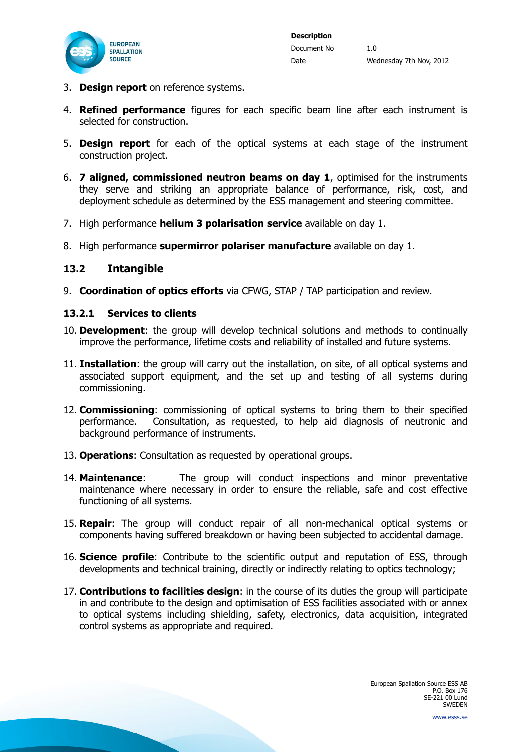

- 3. **Design report** on reference systems.
- 4. **Refined performance** figures for each specific beam line after each instrument is selected for construction.
- 5. **Design report** for each of the optical systems at each stage of the instrument construction project.
- 6. **7 aligned, commissioned neutron beams on day 1**, optimised for the instruments they serve and striking an appropriate balance of performance, risk, cost, and deployment schedule as determined by the ESS management and steering committee.
- 7. High performance **helium 3 polarisation service** available on day 1.
- 8. High performance **supermirror polariser manufacture** available on day 1.

#### <span id="page-12-0"></span>**13.2 Intangible**

9. **Coordination of optics efforts** via CFWG, STAP / TAP participation and review.

#### <span id="page-12-1"></span>**13.2.1 Services to clients**

- 10. **Development**: the group will develop technical solutions and methods to continually improve the performance, lifetime costs and reliability of installed and future systems.
- 11. **Installation**: the group will carry out the installation, on site, of all optical systems and associated support equipment, and the set up and testing of all systems during commissioning.
- 12. **Commissioning**: commissioning of optical systems to bring them to their specified performance. Consultation, as requested, to help aid diagnosis of neutronic and background performance of instruments.
- 13. **Operations**: Consultation as requested by operational groups.
- 14. **Maintenance**: The group will conduct inspections and minor preventative maintenance where necessary in order to ensure the reliable, safe and cost effective functioning of all systems.
- 15. **Repair**: The group will conduct repair of all non-mechanical optical systems or components having suffered breakdown or having been subjected to accidental damage.
- 16. **Science profile**: Contribute to the scientific output and reputation of ESS, through developments and technical training, directly or indirectly relating to optics technology;
- 17. **Contributions to facilities design**: in the course of its duties the group will participate in and contribute to the design and optimisation of ESS facilities associated with or annex to optical systems including shielding, safety, electronics, data acquisition, integrated control systems as appropriate and required.